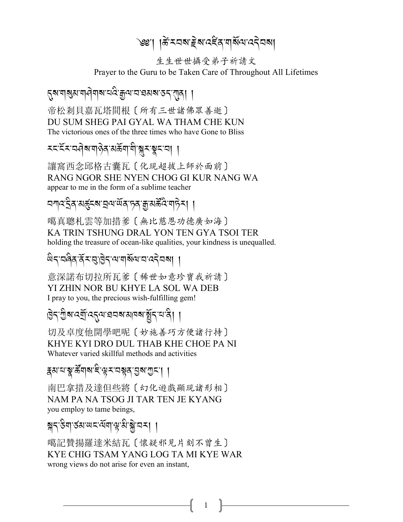# ৩৩'। ।ਲੇਂ মনৰ ইৰা বইৰ নাৰ্য্য বেইনৰ।

生生世世攝受弟子祈請文

Prayer to the Guru to be Taken Care of Throughout All Lifetimes

### *নুষ* নাৰ্থ্য নাৰ্ণনাৰ বেং হ্ৰূম অৱস্থা হয়। ।

帝松剎貝嘉瓦塔間根〔所有三世諸佛眾善逝〕 DU SUM SHEG PAI GYAL WA THAM CHE KUN The victorious ones of the three times who have Gone to Bliss

## **≍८°ॅरप्यवेब यालेव अर्क्ष्या यो ब्रान्ध्र द्राया**

讓窩西念邱格古囊瓦〔化現超拔上師於面前〕 RANG NGOR SHE NYEN CHOG GI KUR NANG WA appear to me in the form of a sublime teacher

### য়য়ঢ়৻ৼৄ৾৶ৼঀৼ৾ৼ৸ৼঀ৸৻৸৻৸য়৸ৼঢ়৸৸৸

噶真聰札雲等加措爹〔無比慈恩功德廣如海〕 KA TRIN TSHUNG DRAL YON TEN GYA TSOI TER holding the treasure of ocean-like qualities, your kindness is unequalled.

#### लुट्राजुष्र्व्र्र्य्यक्षेत्राज्ञानुबुज्ञानार्युज्ञा ।

意深諾布切拉所瓦爹〔稀世如意珍寶我祈請〕 YI ZHIN NOR BU KHYE LA SOL WA DEB I pray to you, the precious wish-fulfilling gem!

## \$ । अन्य क्षित्र के स्थान के स्थान कर के साथ के साथ से साथ से साथ से साथ से साथ से साथ से साथ से सा

切及卓度他開學吧呢〔妙施善巧方便諸行持〕 KHYE KYI DRO DUL THAB KHE CHOE PA NI Whatever varied skillful methods and activities

<sub>ই</sub>ম'ম'ষ্ণু'ৰ্ক্লঁন|ৰ'হি'শ্লুম'নস্থৰ'মুৰ'মুম'] ।

南巴拿措及達但些將〔幻化遊戲顯現諸形相〕 NAM PA NA TSOG JI TAR TEN JE KYANG you employ to tame beings,

# ब्रह्म उद्याजयाया विज्ञानि ।

噶記贊揚羅達米結瓦〔懷疑邪見片刻不曾生〕 KYE CHIG TSAM YANG LOG TA MI KYE WAR wrong views do not arise for even an instant,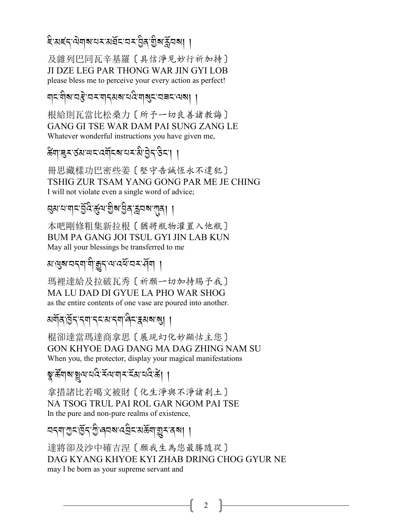ই'মহ্ন'ঐনৰ'মমস্পৰ্যৰ'ত্তীৰ'মুক্ত প্ৰাৰ্থ

及雜列巴同瓦辛基羅〔具信淨見妙行祈加持〕 JI DZE LEG PAR THONG WAR JIN GYI LOB please bless me to perceive your every action as perfect!

ঘাব্যখন্ত্ৰ বৰ্ণবাৰ্থৰ ব্যৱস্থা ।

根給則瓦當比松桑力〔所予一切良善諸教誨〕 GANG GI TSE WAR DAM PAI SUNG ZANG LE Whatever wonderful instructions you have given me,

क्ष्वाञ्चर उत्राणदार्यवादवायरात्री बुदाउदा ।

冊思藏樣功巴密些姜〔堅守告誠恆永不違犯〕 TSHIG ZUR TSAM YANG GONG PAR ME JE CHING I will not violate even a single word of advice;

প্ৰমানাৰান্ট্ৰ্ন্তি:ৰ্ন্ত্ৰেন্ট্ৰ্জিয়ন্ত্ৰ্ন্ননৰাংগ্ৰা ।

本吧剛修粗集新拉根〔猶將瓶物灌置入他瓶〕 BUM PA GANG JOI TSUL GYI JIN LAB KUN May all your blessings be transferred to me

अ<sup>.</sup> अञ्चल संज्ञान के संज्ञान स्थान ।

瑪裡達給及拉破瓦秀 [祈願一切加持賜予我] MA LU DAD DI GYUE LA PHO WAR SHOG as the entire contents of one vase are poured into another.

<u> মর্শবার্ত্তি</u>ন'ন্দ'ন্দ'ম'ন্দ'ৰ্লিম্কমৰ্মা ।

棍卻達當瑪達商拿思〔展現幻化妙顯怙主您〕 GON KHYOE DAG DANG MA DAG ZHING NAM SU When you, the protector, display your magical manifestations

য়ৢৼয়৸য়য়৸ৼঢ়ড়৻৸ৼ৻ৼঀ৻৸৸ৼ

拿措諸比若噶文被財〔化生淨與不淨諸刹土〕 NA TSOG TRUL PAI ROL GAR NGOM PAI TSE In the pure and non-pure realms of existence,

নব্য'শুব'ৰ্ট্ৰব'শ্ৰী'ৰ্বৰ'ৰ্যইৰ'মৰ্ক্তমান্ত্ৰব্বৰ্ষ। ।

達將卻及沙中確吉涅〔願我生為您最勝隨從〕 DAG KYANG KHYOE KYI ZHAB DRING CHOG GYUR NE may I be born as your supreme servant and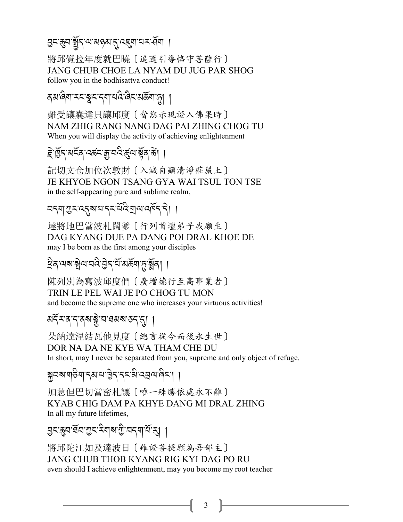# 

將邱覺拉年度就巴曉〔追隨引導恪守菩薩行〕 JANG CHUB CHOE LA NYAM DU JUG PAR SHOG follow you in the bodhisattva conduct!

<u> </u>दबालेया स्टाञ्चटानया चविन्दिर बढेंयाफ़ा ।

難受讓囊達貝讓邱度〔當您示現證入佛果時〕 NAM ZHIG RANG NANG DAG PAI ZHING CHOG TU When you will display the activity of achieving enlightenment

# *हे* ब्रिटाअट्रॅवादर्क्ष्याक्षेत्र कें। ।

記切文仓加位次敦財〔入滅自顯清淨莊嚴土〕 JE KHYOE NGON TSANG GYA WAI TSUL TON TSE in the self-appearing pure and sublime realm,

নব্যা গ্ৰুব্বেশ্বৰ বিষ্মু অনুষ্ঠা ।

達將地巴當波札闊爹〔行列首壇弟子我願生〕 DAG KYANG DUE PA DANG POI DRAL KHOE DE may I be born as the first among your disciples

## ধ্রিব'ঝৰাক্সীঝ'নন্ট'ৰ্ট'ৰ্ম'মৰ্ক্তনাড়'ৰ্ক্সীৰা ।

陳列別為寫波邱度們 [ 廣增德行至高事業者] TRIN LE PEL WAI JE PO CHOG TU MON and become the supreme one who increases your virtuous activities!

## अर्दे र द द वब ब्ले य घरा र द र दा ।

朵納達涅結瓦他見度〔總言從今而後永生世〕 DOR NA DA NE KYE WA THAM CHE DU In short, may I never be separated from you, supreme and only object of refuge.

ब्रेनबार्गडेगानुबायाडेनानन्धे उनुवालेना ।

加急但巴切當密札讓〔唯一殊勝依處永不離〕 KYAB CHIG DAM PA KHYE DANG MI DRAL ZHING In all my future lifetimes,

ঐখপ্ৰেন্দ্ৰ প্ৰাৰ্থ কৰা প্ৰতিপ্ৰা

將邱陀江如及達波日〔雖證菩提願為吾部主〕 JANG CHUB THOB KYANG RIG KYI DAG PO RU even should I achieve enlightenment, may you become my root teacher